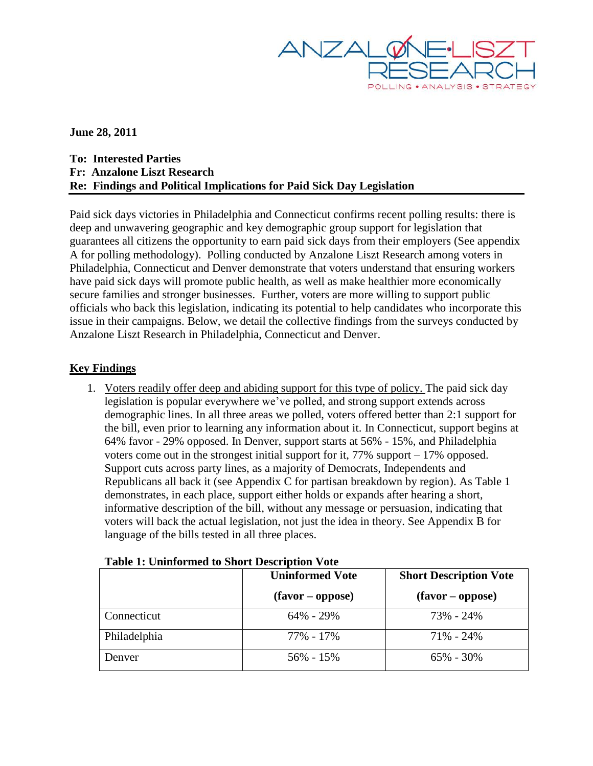

**June 28, 2011**

**To: Interested Parties Fr: Anzalone Liszt Research Re: Findings and Political Implications for Paid Sick Day Legislation**

Paid sick days victories in Philadelphia and Connecticut confirms recent polling results: there is deep and unwavering geographic and key demographic group support for legislation that guarantees all citizens the opportunity to earn paid sick days from their employers (See appendix A for polling methodology). Polling conducted by Anzalone Liszt Research among voters in Philadelphia, Connecticut and Denver demonstrate that voters understand that ensuring workers have paid sick days will promote public health, as well as make healthier more economically secure families and stronger businesses. Further, voters are more willing to support public officials who back this legislation, indicating its potential to help candidates who incorporate this issue in their campaigns. Below, we detail the collective findings from the surveys conducted by Anzalone Liszt Research in Philadelphia, Connecticut and Denver.

## **Key Findings**

1. Voters readily offer deep and abiding support for this type of policy. The paid sick day legislation is popular everywhere we've polled, and strong support extends across demographic lines. In all three areas we polled, voters offered better than 2:1 support for the bill, even prior to learning any information about it. In Connecticut, support begins at 64% favor - 29% opposed. In Denver, support starts at 56% - 15%, and Philadelphia voters come out in the strongest initial support for it,  $77\%$  support  $-17\%$  opposed. Support cuts across party lines, as a majority of Democrats, Independents and Republicans all back it (see Appendix C for partisan breakdown by region). As Table 1 demonstrates, in each place, support either holds or expands after hearing a short, informative description of the bill, without any message or persuasion, indicating that voters will back the actual legislation, not just the idea in theory. See Appendix B for language of the bills tested in all three places.

|              | <b>Uninformed Vote</b> | <b>Short Description Vote</b> |  |
|--------------|------------------------|-------------------------------|--|
|              | $(favor - oppose)$     | $(favor - oppose)$            |  |
| Connecticut  | 64% - 29%              | 73% - 24%                     |  |
| Philadelphia | 77% - 17%              | $71\% - 24\%$                 |  |
| Denver       | $56\% - 15\%$          | $65\% - 30\%$                 |  |

#### **Table 1: Uninformed to Short Description Vote**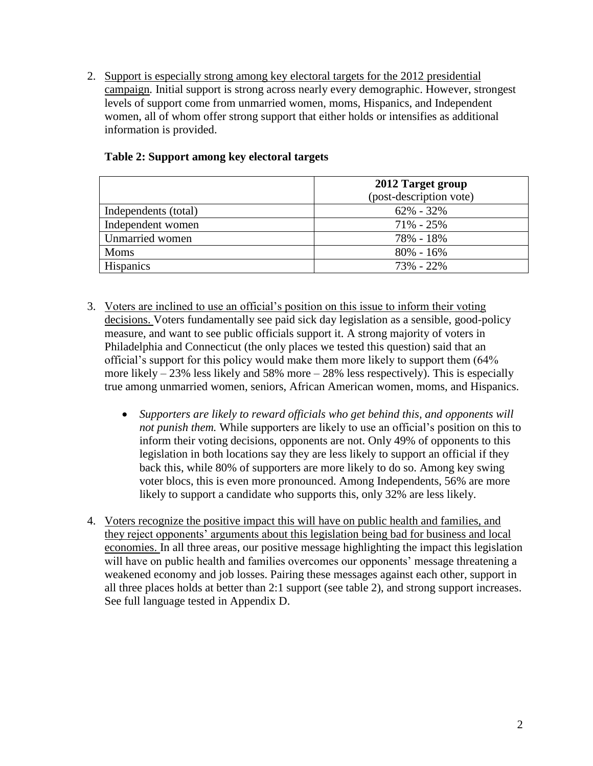2. Support is especially strong among key electoral targets for the 2012 presidential campaign*.* Initial support is strong across nearly every demographic. However, strongest levels of support come from unmarried women, moms, Hispanics, and Independent women, all of whom offer strong support that either holds or intensifies as additional information is provided.

|                      | 2012 Target group       |  |
|----------------------|-------------------------|--|
|                      | (post-description vote) |  |
| Independents (total) | $62\% - 32\%$           |  |
| Independent women    | $71\% - 25\%$           |  |
| Unmarried women      | 78% - 18%               |  |
| <b>Moms</b>          | $80\% - 16\%$           |  |
| <b>Hispanics</b>     | 73% - 22%               |  |

## **Table 2: Support among key electoral targets**

- 3. Voters are inclined to use an official's position on this issue to inform their voting decisions. Voters fundamentally see paid sick day legislation as a sensible, good-policy measure, and want to see public officials support it. A strong majority of voters in Philadelphia and Connecticut (the only places we tested this question) said that an official's support for this policy would make them more likely to support them (64% more likely  $-23\%$  less likely and 58% more  $-28\%$  less respectively). This is especially true among unmarried women, seniors, African American women, moms, and Hispanics.
	- *Supporters are likely to reward officials who get behind this, and opponents will not punish them.* While supporters are likely to use an official's position on this to inform their voting decisions, opponents are not. Only 49% of opponents to this legislation in both locations say they are less likely to support an official if they back this, while 80% of supporters are more likely to do so. Among key swing voter blocs, this is even more pronounced. Among Independents, 56% are more likely to support a candidate who supports this, only 32% are less likely.
- 4. Voters recognize the positive impact this will have on public health and families, and they reject opponents' arguments about this legislation being bad for business and local economies. In all three areas, our positive message highlighting the impact this legislation will have on public health and families overcomes our opponents' message threatening a weakened economy and job losses. Pairing these messages against each other, support in all three places holds at better than 2:1 support (see table 2), and strong support increases. See full language tested in Appendix D.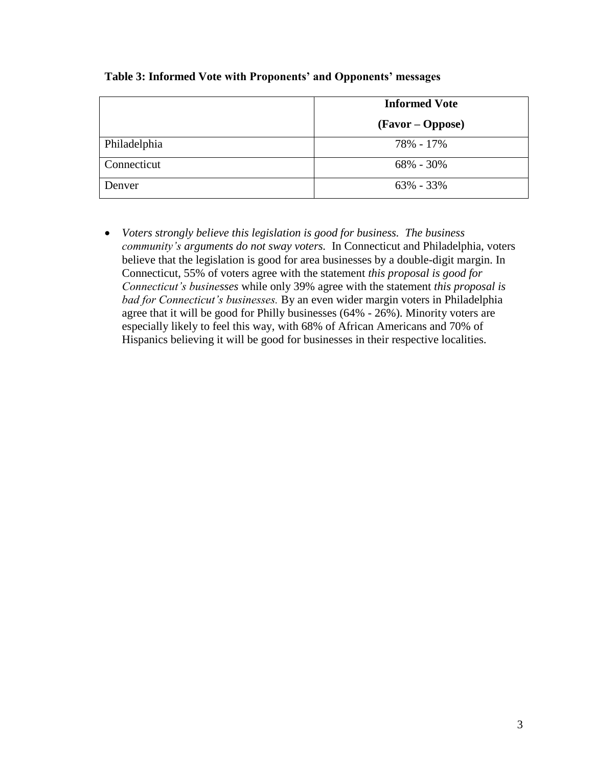|              | <b>Informed Vote</b> |  |
|--------------|----------------------|--|
|              | (Favor – Oppose)     |  |
| Philadelphia | 78% - 17%            |  |
| Connecticut  | $68\% - 30\%$        |  |
| Denver       | $63\% - 33\%$        |  |

#### **Table 3: Informed Vote with Proponents' and Opponents' messages**

 *Voters strongly believe this legislation is good for business. The business community's arguments do not sway voters.* In Connecticut and Philadelphia, voters believe that the legislation is good for area businesses by a double-digit margin. In Connecticut, 55% of voters agree with the statement *this proposal is good for Connecticut's businesses* while only 39% agree with the statement *this proposal is bad for Connecticut's businesses.* By an even wider margin voters in Philadelphia agree that it will be good for Philly businesses (64% - 26%). Minority voters are especially likely to feel this way, with 68% of African Americans and 70% of Hispanics believing it will be good for businesses in their respective localities.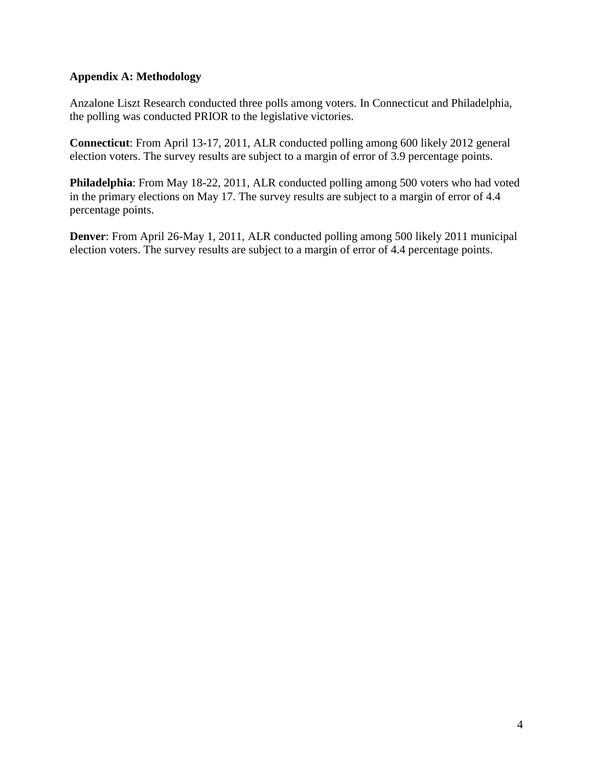## **Appendix A: Methodology**

Anzalone Liszt Research conducted three polls among voters. In Connecticut and Philadelphia, the polling was conducted PRIOR to the legislative victories.

**Connecticut**: From April 13-17, 2011, ALR conducted polling among 600 likely 2012 general election voters. The survey results are subject to a margin of error of 3.9 percentage points.

**Philadelphia**: From May 18-22, 2011, ALR conducted polling among 500 voters who had voted in the primary elections on May 17. The survey results are subject to a margin of error of 4.4 percentage points.

**Denver**: From April 26-May 1, 2011, ALR conducted polling among 500 likely 2011 municipal election voters. The survey results are subject to a margin of error of 4.4 percentage points.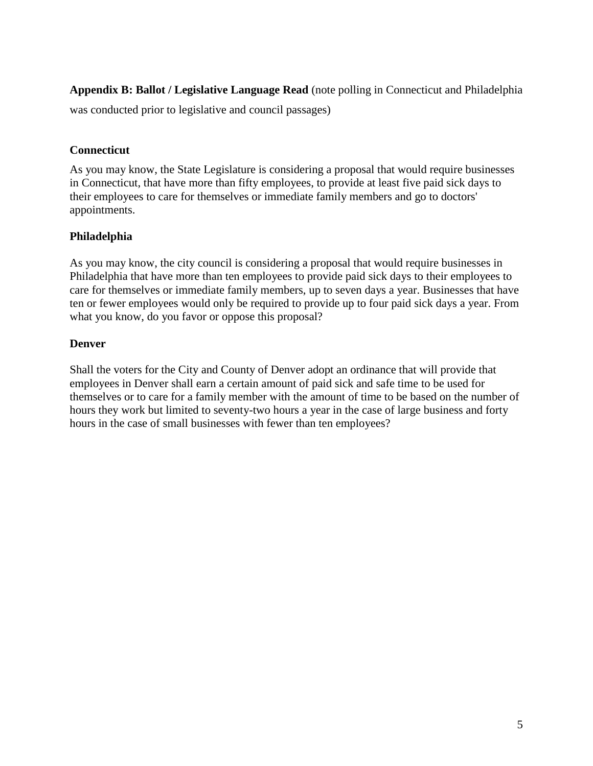**Appendix B: Ballot / Legislative Language Read** (note polling in Connecticut and Philadelphia

was conducted prior to legislative and council passages)

## **Connecticut**

As you may know, the State Legislature is considering a proposal that would require businesses in Connecticut, that have more than fifty employees, to provide at least five paid sick days to their employees to care for themselves or immediate family members and go to doctors' appointments.

## **Philadelphia**

As you may know, the city council is considering a proposal that would require businesses in Philadelphia that have more than ten employees to provide paid sick days to their employees to care for themselves or immediate family members, up to seven days a year. Businesses that have ten or fewer employees would only be required to provide up to four paid sick days a year. From what you know, do you favor or oppose this proposal?

## **Denver**

Shall the voters for the City and County of Denver adopt an ordinance that will provide that employees in Denver shall earn a certain amount of paid sick and safe time to be used for themselves or to care for a family member with the amount of time to be based on the number of hours they work but limited to seventy-two hours a year in the case of large business and forty hours in the case of small businesses with fewer than ten employees?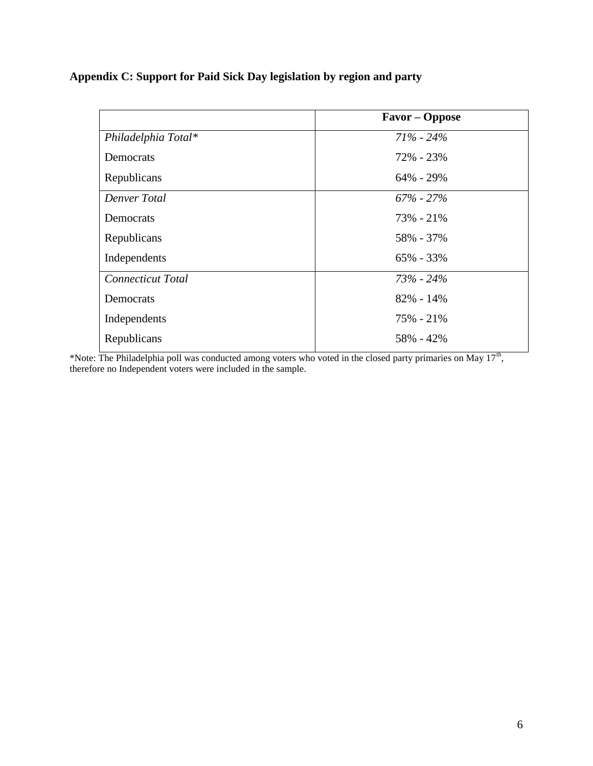| Appendix C: Support for Paid Sick Day legislation by region and party |  |  |  |  |  |  |
|-----------------------------------------------------------------------|--|--|--|--|--|--|
|-----------------------------------------------------------------------|--|--|--|--|--|--|

|                          | Favor – Oppose |
|--------------------------|----------------|
| Philadelphia Total*      | $71\% - 24\%$  |
| Democrats                | 72% - 23%      |
| Republicans              | $64\% - 29\%$  |
| Denver Total             | $67\% - 27\%$  |
| Democrats                | 73% - 21%      |
| Republicans              | 58% - 37%      |
| Independents             | $65\% - 33\%$  |
| <b>Connecticut Total</b> | $73\% - 24\%$  |
| Democrats                | $82\% - 14\%$  |
| Independents             | $75\% - 21\%$  |
| Republicans              | 58% - 42%      |

\*Note: The Philadelphia poll was conducted among voters who voted in the closed party primaries on May  $17<sup>th</sup>$ , therefore no Independent voters were included in the sample.